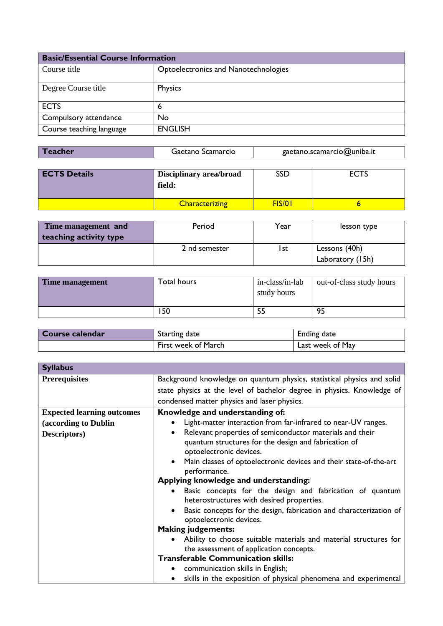| <b>Basic/Essential Course Information</b> |                                      |
|-------------------------------------------|--------------------------------------|
| Course title                              | Optoelectronics and Nanotechnologies |
| Degree Course title                       | <b>Physics</b>                       |
| <b>ECTS</b>                               | 6                                    |
| Compulsory attendance                     | <b>No</b>                            |
| Course teaching language                  | <b>ENGLISH</b>                       |

| Teacher<br>Gaetano Scamarcio | gaetano.scamarcio@uniba.it |
|------------------------------|----------------------------|
|------------------------------|----------------------------|

| <b>ECTS Details</b> | Disciplinary area/broad<br>field: | SSD    | <b>ECTS</b> |
|---------------------|-----------------------------------|--------|-------------|
|                     | <b>Characterizing</b>             | FIS/01 |             |

| Time management and    | Period        | Year | lesson type      |
|------------------------|---------------|------|------------------|
| teaching activity type |               |      |                  |
|                        | 2 nd semester | l st | Lessons (40h)    |
|                        |               |      | Laboratory (15h) |

| Time management | Total hours | in-class/in-lab<br>study hours | out-of-class study hours |
|-----------------|-------------|--------------------------------|--------------------------|
|                 | 150         |                                | 95                       |

| Course calendar | Starting date       | Ending date      |
|-----------------|---------------------|------------------|
|                 | First week of March | Last week of May |

| <b>Syllabus</b>                   |                                                                                                                                                                                                                                                                                                                                                                                                                                                                                                                            |
|-----------------------------------|----------------------------------------------------------------------------------------------------------------------------------------------------------------------------------------------------------------------------------------------------------------------------------------------------------------------------------------------------------------------------------------------------------------------------------------------------------------------------------------------------------------------------|
| <b>Prerequisites</b>              | Background knowledge on quantum physics, statistical physics and solid                                                                                                                                                                                                                                                                                                                                                                                                                                                     |
|                                   | state physics at the level of bachelor degree in physics. Knowledge of                                                                                                                                                                                                                                                                                                                                                                                                                                                     |
|                                   | condensed matter physics and laser physics.                                                                                                                                                                                                                                                                                                                                                                                                                                                                                |
| <b>Expected learning outcomes</b> | Knowledge and understanding of:                                                                                                                                                                                                                                                                                                                                                                                                                                                                                            |
| (according to Dublin              | Light-matter interaction from far-infrared to near-UV ranges.<br>٠                                                                                                                                                                                                                                                                                                                                                                                                                                                         |
| Descriptors)                      | Relevant properties of semiconductor materials and their<br>$\bullet$<br>quantum structures for the design and fabrication of<br>optoelectronic devices.<br>Main classes of optoelectronic devices and their state-of-the-art<br>$\bullet$<br>performance.<br>Applying knowledge and understanding:<br>Basic concepts for the design and fabrication of quantum<br>$\bullet$<br>heterostructures with desired properties.<br>Basic concepts for the design, fabrication and characterization of<br>optoelectronic devices. |
|                                   | <b>Making judgements:</b>                                                                                                                                                                                                                                                                                                                                                                                                                                                                                                  |
|                                   | Ability to choose suitable materials and material structures for<br>$\bullet$<br>the assessment of application concepts.                                                                                                                                                                                                                                                                                                                                                                                                   |
|                                   | <b>Transferable Communication skills:</b>                                                                                                                                                                                                                                                                                                                                                                                                                                                                                  |
|                                   | communication skills in English;<br>٠                                                                                                                                                                                                                                                                                                                                                                                                                                                                                      |
|                                   | skills in the exposition of physical phenomena and experimental<br>$\bullet$                                                                                                                                                                                                                                                                                                                                                                                                                                               |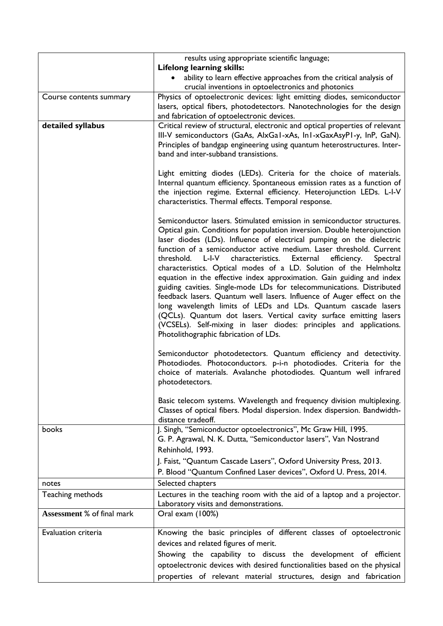|                            | results using appropriate scientific language;                                                                                                                                                                                                                                                                                                                                                                                                                                                                                                                                                                                                                                                                                                                                                                                                                                                                                                 |
|----------------------------|------------------------------------------------------------------------------------------------------------------------------------------------------------------------------------------------------------------------------------------------------------------------------------------------------------------------------------------------------------------------------------------------------------------------------------------------------------------------------------------------------------------------------------------------------------------------------------------------------------------------------------------------------------------------------------------------------------------------------------------------------------------------------------------------------------------------------------------------------------------------------------------------------------------------------------------------|
|                            | <b>Lifelong learning skills:</b><br>$\bullet$                                                                                                                                                                                                                                                                                                                                                                                                                                                                                                                                                                                                                                                                                                                                                                                                                                                                                                  |
|                            | ability to learn effective approaches from the critical analysis of<br>crucial inventions in optoelectronics and photonics                                                                                                                                                                                                                                                                                                                                                                                                                                                                                                                                                                                                                                                                                                                                                                                                                     |
| Course contents summary    | Physics of optoelectronic devices: light emitting diodes, semiconductor                                                                                                                                                                                                                                                                                                                                                                                                                                                                                                                                                                                                                                                                                                                                                                                                                                                                        |
|                            | lasers, optical fibers, photodetectors. Nanotechnologies for the design                                                                                                                                                                                                                                                                                                                                                                                                                                                                                                                                                                                                                                                                                                                                                                                                                                                                        |
|                            | and fabrication of optoelectronic devices.                                                                                                                                                                                                                                                                                                                                                                                                                                                                                                                                                                                                                                                                                                                                                                                                                                                                                                     |
| detailed syllabus          | Critical review of structural, electronic and optical properties of relevant<br>III-V semiconductors (GaAs, AlxGa1-xAs, In1-xGaxAsyP1-y, InP, GaN).<br>Principles of bandgap engineering using quantum heterostructures. Inter-<br>band and inter-subband transistions.                                                                                                                                                                                                                                                                                                                                                                                                                                                                                                                                                                                                                                                                        |
|                            | Light emitting diodes (LEDs). Criteria for the choice of materials.<br>Internal quantum efficiency. Spontaneous emission rates as a function of<br>the injection regime. External efficiency. Heterojunction LEDs. L-I-V<br>characteristics. Thermal effects. Temporal response.                                                                                                                                                                                                                                                                                                                                                                                                                                                                                                                                                                                                                                                               |
|                            | Semiconductor lasers. Stimulated emission in semiconductor structures.<br>Optical gain. Conditions for population inversion. Double heterojunction<br>laser diodes (LDs). Influence of electrical pumping on the dielectric<br>function of a semiconductor active medium. Laser threshold. Current<br>threshold.<br>L-I-V<br>characteristics.<br>External<br>efficiency.<br>Spectral<br>characteristics. Optical modes of a LD. Solution of the Helmholtz<br>equation in the effective index approximation. Gain guiding and index<br>guiding cavities. Single-mode LDs for telecommunications. Distributed<br>feedback lasers. Quantum well lasers. Influence of Auger effect on the<br>long wavelength limits of LEDs and LDs. Quantum cascade lasers<br>(QCLs). Quantum dot lasers. Vertical cavity surface emitting lasers<br>(VCSELs). Self-mixing in laser diodes: principles and applications.<br>Photolithographic fabrication of LDs. |
|                            | Semiconductor photodetectors. Quantum efficiency and detectivity.<br>Photodiodes. Photoconductors. p-i-n photodiodes. Criteria for the<br>choice of materials. Avalanche photodiodes. Quantum well infrared<br>photodetectors.                                                                                                                                                                                                                                                                                                                                                                                                                                                                                                                                                                                                                                                                                                                 |
|                            | Basic telecom systems. Wavelength and frequency division multiplexing.<br>Classes of optical fibers. Modal dispersion. Index dispersion. Bandwidth-<br>distance tradeoff.                                                                                                                                                                                                                                                                                                                                                                                                                                                                                                                                                                                                                                                                                                                                                                      |
| books                      | J. Singh, "Semiconductor optoelectronics", Mc Graw Hill, 1995.<br>G. P. Agrawal, N. K. Dutta, "Semiconductor lasers", Van Nostrand<br>Rehinhold, 1993.<br>J. Faist, "Quantum Cascade Lasers", Oxford University Press, 2013.                                                                                                                                                                                                                                                                                                                                                                                                                                                                                                                                                                                                                                                                                                                   |
|                            | P. Blood "Quantum Confined Laser devices", Oxford U. Press, 2014.                                                                                                                                                                                                                                                                                                                                                                                                                                                                                                                                                                                                                                                                                                                                                                                                                                                                              |
| notes                      | Selected chapters                                                                                                                                                                                                                                                                                                                                                                                                                                                                                                                                                                                                                                                                                                                                                                                                                                                                                                                              |
| Teaching methods           | Lectures in the teaching room with the aid of a laptop and a projector.<br>Laboratory visits and demonstrations.                                                                                                                                                                                                                                                                                                                                                                                                                                                                                                                                                                                                                                                                                                                                                                                                                               |
| Assessment % of final mark | Oral exam (100%)                                                                                                                                                                                                                                                                                                                                                                                                                                                                                                                                                                                                                                                                                                                                                                                                                                                                                                                               |
| Evaluation criteria        | Knowing the basic principles of different classes of optoelectronic                                                                                                                                                                                                                                                                                                                                                                                                                                                                                                                                                                                                                                                                                                                                                                                                                                                                            |
|                            | devices and related figures of merit.                                                                                                                                                                                                                                                                                                                                                                                                                                                                                                                                                                                                                                                                                                                                                                                                                                                                                                          |
|                            | Showing the capability to discuss the development of efficient                                                                                                                                                                                                                                                                                                                                                                                                                                                                                                                                                                                                                                                                                                                                                                                                                                                                                 |
|                            | optoelectronic devices with desired functionalities based on the physical                                                                                                                                                                                                                                                                                                                                                                                                                                                                                                                                                                                                                                                                                                                                                                                                                                                                      |
|                            | properties of relevant material structures, design and fabrication                                                                                                                                                                                                                                                                                                                                                                                                                                                                                                                                                                                                                                                                                                                                                                                                                                                                             |